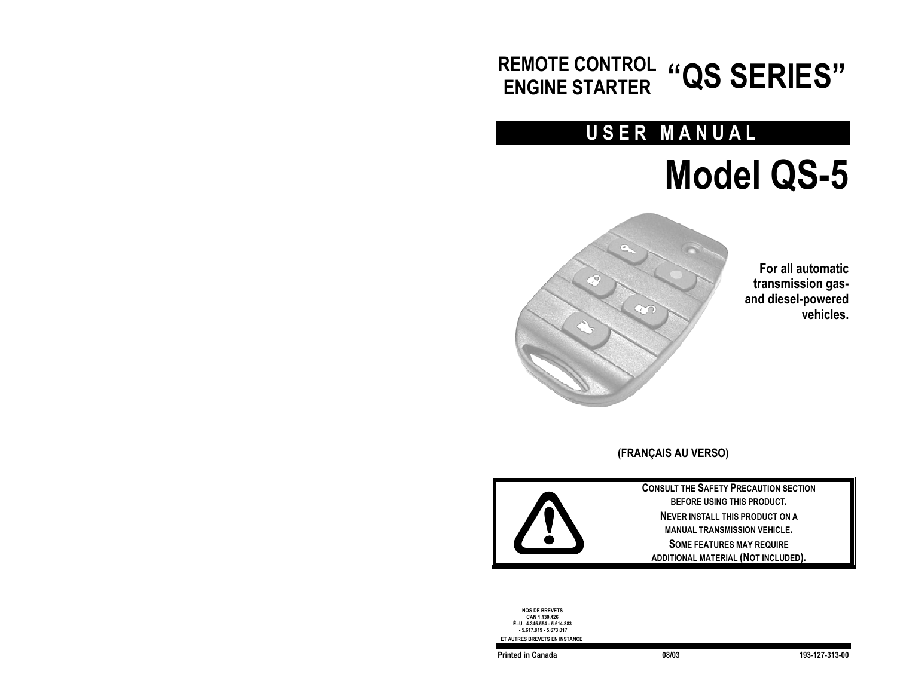## **REMOTE CONTROL ENGINE STARTER "QS SERIES"**

## **USER MANUAL**

# **Model QS-5**



**For all automatic transmission gasand diesel-powered vehicles.** 

**(FRANÇAIS AU VERSO)**



**CONSULT THE SAFETY PRECAUTION SECTION BEFORE USING THIS PRODUCT. NEVER INSTALL THIS PRODUCT ON A MANUAL TRANSMISSION VEHICLE.SOME FEATURES MAY REQUIRE ADDITIONAL MATERIAL (NOT INCLUDED).** 

**NOS DE BREVETS CAN 1.130.426 É.-U. 4.345.554 - 5.614.883 - 5.617.819 - 5.673.017 ET AUTRES BREVETS EN INSTANCE**

**Printed in Canada 08/03 193-127-313-00**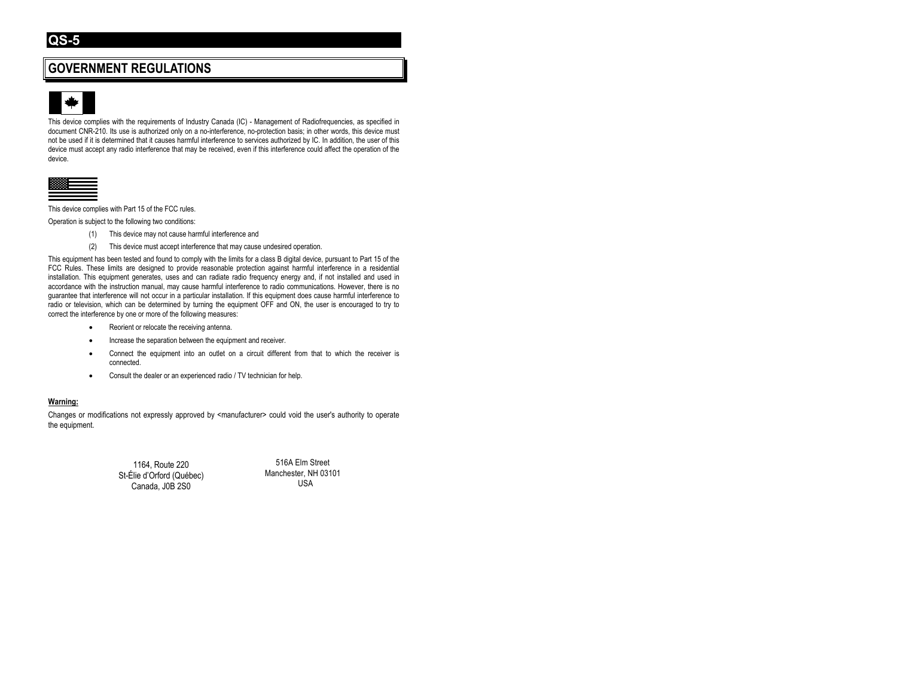## **GOVERNMENT REGULATIONS**



This device complies with the requirements of Industry Canada (IC) - Management of Radiofrequencies, as specified in document CNR-210. Its use is authorized only on a no-interference, no-protection basis; in other words, this device must not be used if it is determined that it causes harmful interference to services authorized by IC. In addition, the user of this device must accept any radio interference that may be received, even if this interference could affect the operation of the device.



This device complies with Part 15 of the FCC rules.

Operation is subject to the following two conditions:

- (1) This device may not cause harmful interference and
- (2) This device must accept interference that may cause undesired operation.

This equipment has been tested and found to comply with the limits for a class B digital device, pursuant to Part 15 of the FCC Rules. These limits are designed to provide reasonable protection against harmful interference in a residential installation. This equipment generates, uses and can radiate radio frequency energy and, if not installed and used in accordance with the instruction manual, may cause harmful interference to radio communications. However, there is no guarantee that interference will not occur in a particular installation. If this equipment does cause harmful interference to radio or television, which can be determined by turning the equipment OFF and ON, the user is encouraged to try to correct the interference by one or more of the following measures:

- Reorient or relocate the receiving antenna.
- Increase the separation between the equipment and receiver.
- Connect the equipment into an outlet on a circuit different from that to which the receiver is connected.
- Consult the dealer or an experienced radio / TV technician for help.

#### **Warning:**

Changes or modifications not expressly approved by <manufacturer> could void the user's authority to operate the equipment.

> 1164, Route 220 St-Élie d'Orford (Québec) Canada, J0B 2S0

516A Elm Street Manchester, NH 03101 USA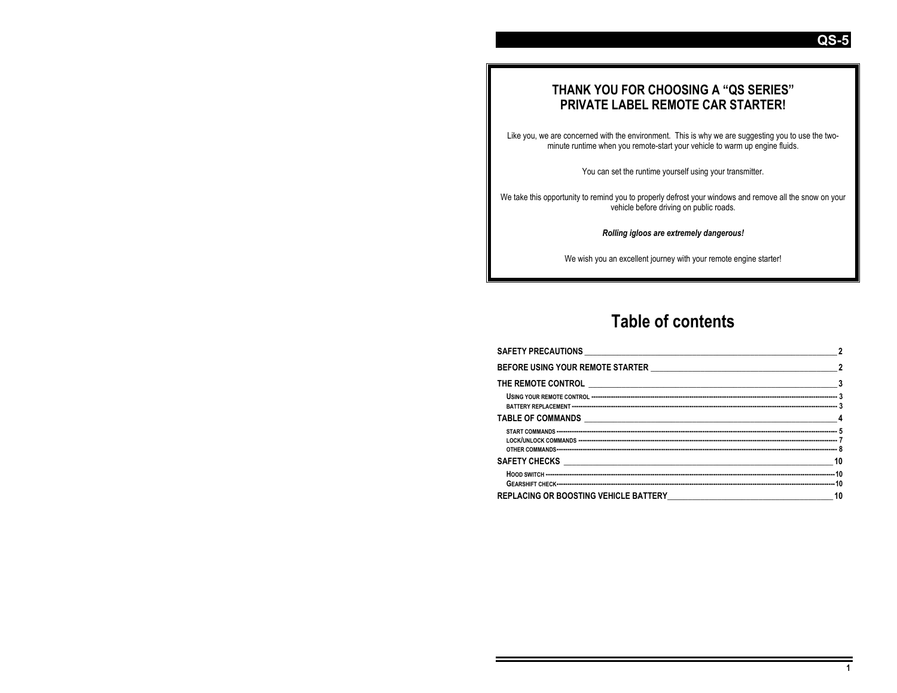## **THANK YOU FOR CHOOSING A "QS SERIES" PRIVATE LABEL REMOTE CAR STARTER!**

Like you, we are concerned with the environment. This is why we are suggesting you to use the twominute runtime when you remote-start your vehicle to warm up engine fluids.

You can set the runtime yourself using your transmitter.

We take this opportunity to remind you to properly defrost your windows and remove all the snow on your vehicle before driving on public roads.

*Rolling igloos are extremely dangerous!* 

We wish you an excellent journey with your remote engine starter!

## **Table of contents**

| $\overline{2}$ |
|----------------|
|                |
|                |
|                |
|                |
|                |
|                |
|                |
| 10             |

**QS-5**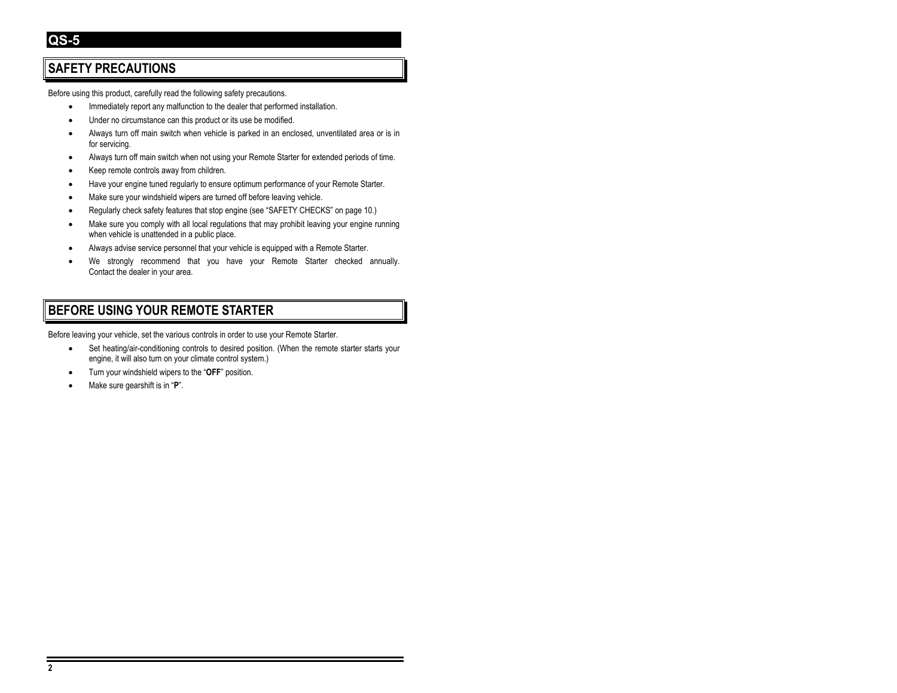## **SAFETY PRECAUTIONS**

Before using this product, carefully read the following safety precautions.

- Immediately report any malfunction to the dealer that performed installation.
- Under no circumstance can this product or its use be modified.
- Always turn off main switch when vehicle is parked in an enclosed, unventilated area or is in for servicing.
- Always turn off main switch when not using your Remote Starter for extended periods of time.
- Keep remote controls away from children.
- Have your engine tuned regularly to ensure optimum performance of your Remote Starter.
- Make sure your windshield wipers are turned off before leaving vehicle.
- Regularly check safety features that stop engine (see "SAFETY CHECKS" on page 10.)
- Make sure you comply with all local regulations that may prohibit leaving your engine running when vehicle is unattended in a public place.
- Always advise service personnel that your vehicle is equipped with a Remote Starter.
- We strongly recommend that you have your Remote Starter checked annually. Contact the dealer in your area.

## **BEFORE USING YOUR REMOTE STARTER**

Before leaving your vehicle, set the various controls in order to use your Remote Starter.

- Set heating/air-conditioning controls to desired position. (When the remote starter starts your engine, it will also turn on your climate control system.)
- Turn your windshield wipers to the "**OFF**" position.
- Make sure gearshift is in "**P**".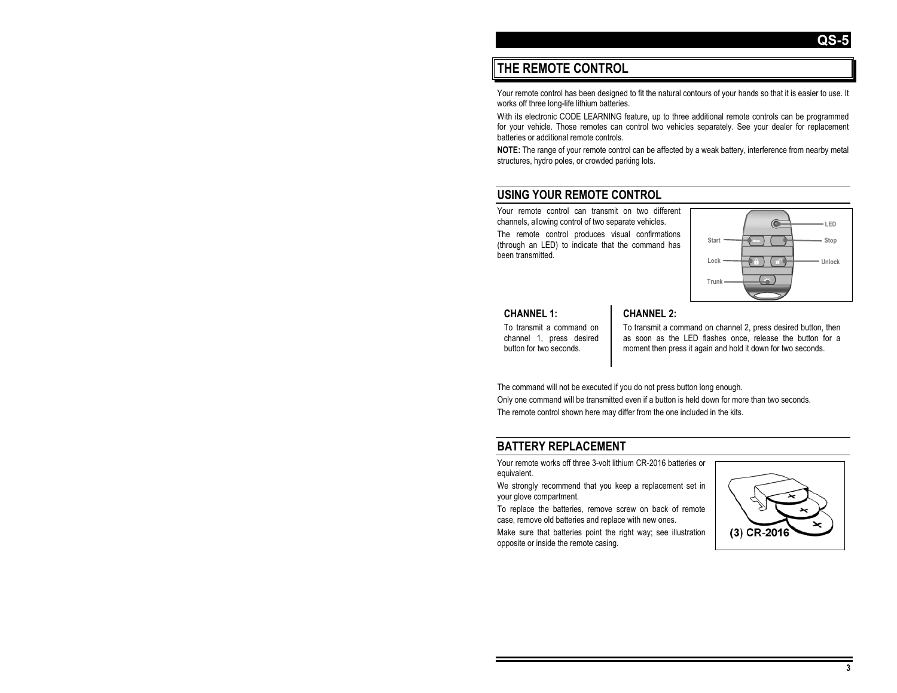## **THE REMOTE CONTROL**

Your remote control has been designed to fit the natural contours of your hands so that it is easier to use. It works off three long-life lithium batteries.

With its electronic CODE LEARNING feature, up to three additional remote controls can be programmed for your vehicle. Those remotes can control two vehicles separately. See your dealer for replacement batteries or additional remote controls.

**NOTE:** The range of your remote control can be affected by a weak battery, interference from nearby metal structures, hydro poles, or crowded parking lots.

## **USING YOUR REMOTE CONTROL**

Your remote control can transmit on two different channels, allowing control of two separate vehicles.

The remote control produces visual confirmations (through an LED) to indicate that the command has been transmitted.



#### **CHANNEL 1:**

To transmit a command on channel 1, press desired button for two seconds.

#### **CHANNEL 2:**

To transmit a command on channel 2, press desired button, then as soon as the LED flashes once, release the button for a moment then press it again and hold it down for two seconds.

The command will not be executed if you do not press button long enough.

Only one command will be transmitted even if a button is held down for more than two seconds. The remote control shown here may differ from the one included in the kits.

## **BATTERY REPLACEMENT**

Your remote works off three 3-volt lithium CR-2016 batteries or equivalent.

We strongly recommend that you keep a replacement set in your glove compartment.

To replace the batteries, remove screw on back of remote case, remove old batteries and replace with new ones.

Make sure that batteries point the right way; see illustration opposite or inside the remote casing.

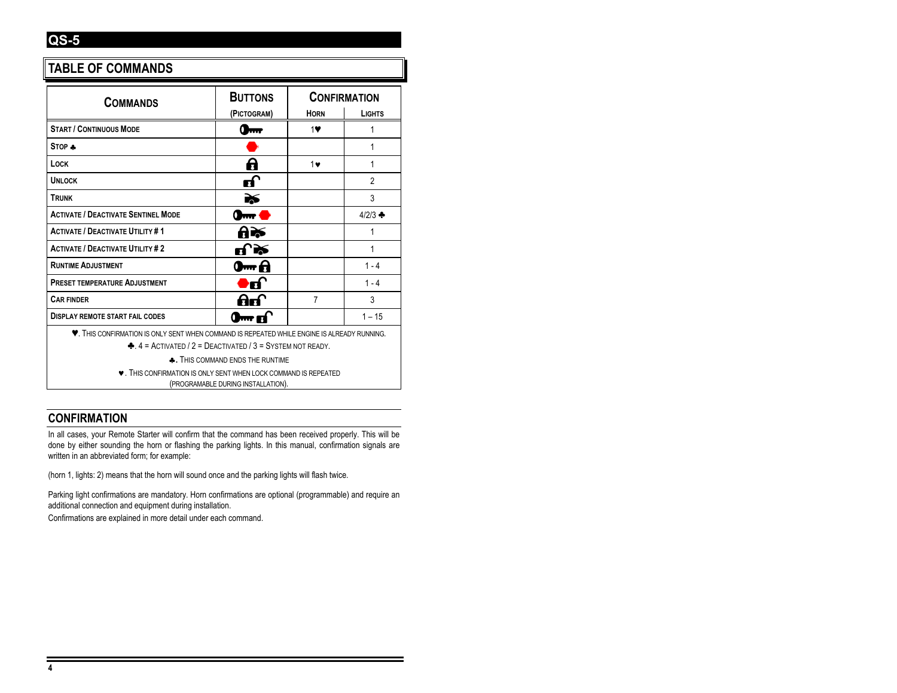## **TABLE OF COMMANDS**

| <b>COMMANDS</b>                                                                                              | <b>BUTTONS</b>                 | <b>CONFIRMATION</b> |                   |
|--------------------------------------------------------------------------------------------------------------|--------------------------------|---------------------|-------------------|
|                                                                                                              | (PICTOGRAM)                    | <b>HORN</b>         | <b>LIGHTS</b>     |
| <b>START / CONTINUOUS MODE</b>                                                                               |                                | 1♥                  | 1                 |
| STOP +                                                                                                       |                                |                     | 1                 |
| LOCK                                                                                                         | A                              | $1\bullet$          | 1                 |
| <b>UNLOCK</b>                                                                                                | எ                              |                     | $\overline{2}$    |
| <b>TRUNK</b>                                                                                                 | ≧≶                             |                     | 3                 |
| <b>ACTIVATE / DEACTIVATE SENTINEL MODE</b>                                                                   | $0 - 0$                        |                     | $4/2/3$ $\bullet$ |
| <b>ACTIVATE / DEACTIVATE UTILITY #1</b>                                                                      | 8≫                             |                     | 1                 |
| <b>ACTIVATE / DEACTIVATE UTILITY #2</b>                                                                      | பி≫்                           |                     | 1                 |
| <b>RUNTIME ADJUSTMENT</b>                                                                                    | 0 <del>m</del> A               |                     | $1 - 4$           |
| <b>PRESET TEMPERATURE ADJUSTMENT</b>                                                                         | ●ď                             |                     | $1 - 4$           |
| <b>CAR FINDER</b>                                                                                            | 86                             | $\overline{7}$      | 3                 |
| <b>DISPLAY REMOTE START FAIL CODES</b>                                                                       | $\mathbf{0}$ m ri $\mathbf{0}$ |                     | $1 - 15$          |
| <b>V.</b> THIS CONFIRMATION IS ONLY SENT WHEN COMMAND IS REPEATED WHILE ENGINE IS ALREADY RUNNING.           |                                |                     |                   |
| $\triangle$ , 4 = ACTIVATED / 2 = DEACTIVATED / 3 = SYSTEM NOT READY.                                        |                                |                     |                   |
| <b>A.</b> THIS COMMAND ENDS THE RUNTIME                                                                      |                                |                     |                   |
| <b>V. THIS CONFIRMATION IS ONLY SENT WHEN LOCK COMMAND IS REPEATED</b><br>(PROGRAMABLE DURING INSTALLATION). |                                |                     |                   |

## **CONFIRMATION**

In all cases, your Remote Starter will confirm that the command has been received properly. This will be done by either sounding the horn or flashing the parking lights. In this manual, confirmation signals are written in an abbreviated form; for example:

(horn 1, lights: 2) means that the horn will sound once and the parking lights will flash twice.

Parking light confirmations are mandatory. Horn confirmations are optional (programmable) and require an additional connection and equipment during installation.

Confirmations are explained in more detail under each command.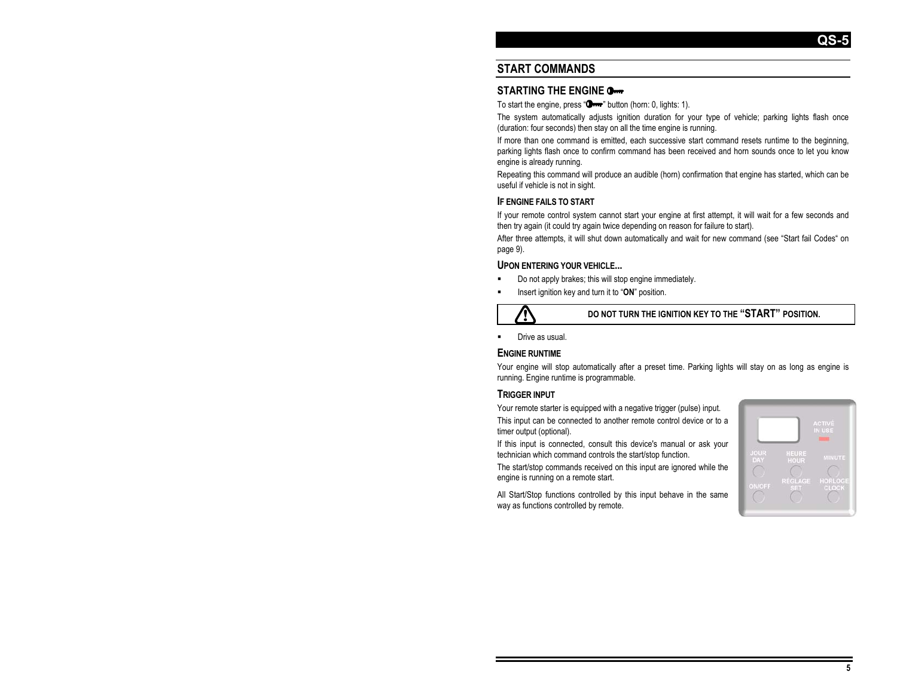## **START COMMANDS**

#### **STARTING THE ENGINE**

To start the engine, press " $\mathbf{O}_{\text{max}}$ " button (horn: 0, lights: 1).

The system automatically adjusts janition duration for your type of vehicle; parking lights flash once (duration: four seconds) then stay on all the time engine is running.

If more than one command is emitted, each successive start command resets runtime to the beginning, parking lights flash once to confirm command has been received and horn sounds once to let you know engine is already running.

Repeating this command will produce an audible (horn) confirmation that engine has started, which can be useful if vehicle is not in sight.

#### **IF ENGINE FAILS TO START**

If your remote control system cannot start your engine at first attempt, it will wait for a few seconds and then try again (it could try again twice depending on reason for failure to start).

After three attempts, it will shut down automatically and wait for new command (see "Start fail Codes" on page 9).

#### **UPON ENTERING YOUR VEHICLE...**

- Do not apply brakes; this will stop engine immediately.
- Insert ignition key and turn it to "**ON**" position.



**DO NOT TURN THE IGNITION KEY TO THE "START" POSITION.** 

Drive as usual.

#### **ENGINE RUNTIME**

Your engine will stop automatically after a preset time. Parking lights will stay on as long as engine is running. Engine runtime is programmable.

#### **TRIGGER INPUT**

Your remote starter is equipped with a negative trigger (pulse) input.

This input can be connected to another remote control device or to a timer output (optional).

If this input is connected, consult this device's manual or ask your technician which command controls the start/stop function.

The start/stop commands received on this input are ignored while the engine is running on a remote start.

All Start/Stop functions controlled by this input behave in the same way as functions controlled by remote.

|                           |                       | <b>ACTIVÉ</b><br>IN USE |
|---------------------------|-----------------------|-------------------------|
| <b>JOUR</b><br><b>DAY</b> | HEURE<br><b>HOUR</b>  | <b>MINUTE</b>           |
| <b>ON/OFF</b>             | <b>RÉGLAGE</b><br>SET | HORLOGE<br><b>CLOCK</b> |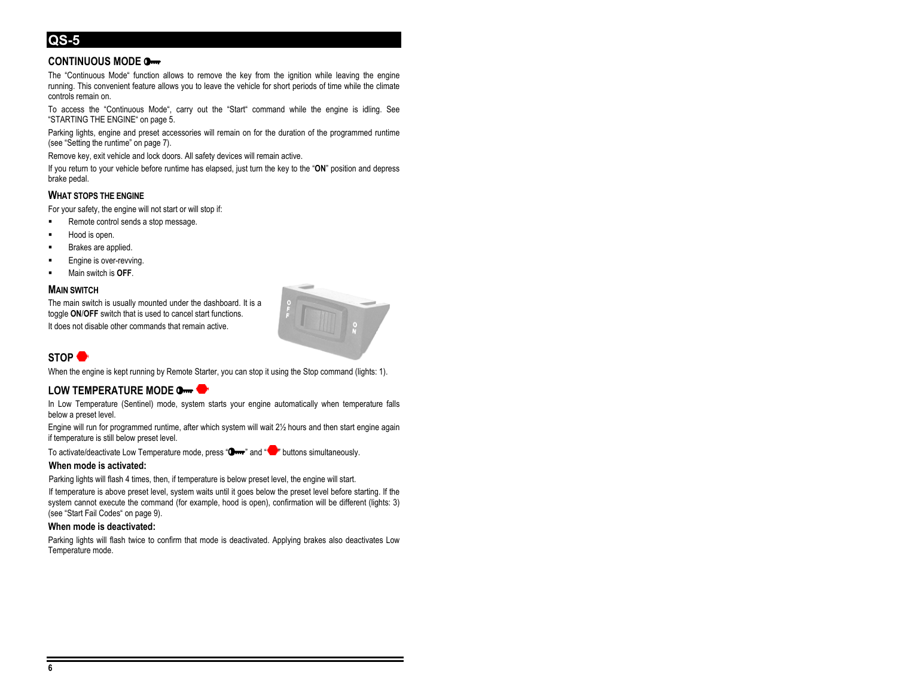#### **CONTINUOUS MODE**

The "Continuous Mode" function allows to remove the key from the ignition while leaving the engine running. This convenient feature allows you to leave the vehicle for short periods of time while the climate controls remain on.

To access the "Continuous Mode", carry out the "Start" command while the engine is idling. See "STARTING THE ENGINE" on page 5.

Parking lights, engine and preset accessories will remain on for the duration of the programmed runtime (see "Setting the runtime" on page 7).

Remove key, exit vehicle and lock doors. All safety devices will remain active.

If you return to your vehicle before runtime has elapsed, just turn the key to the "**ON**" position and depress brake pedal.

#### **WHAT STOPS THE ENGINE**

For your safety, the engine will not start or will stop if:

- Remote control sends a stop message.
- Hood is open.
- Brakes are applied.
- Engine is over-revving.
- Main switch is **OFF**.

#### **MAIN SWITCH**

The main switch is usually mounted under the dashboard. It is a toggle **ON**/**OFF** switch that is used to cancel start functions. It does not disable other commands that remain active.



## **STOP**

When the engine is kept running by Remote Starter, you can stop it using the Stop command (lights: 1).

#### **LOW TEMPERATURE MODE**

In Low Temperature (Sentinel) mode, system starts your engine automatically when temperature falls below a preset level.

Engine will run for programmed runtime, after which system will wait 2½ hours and then start engine again if temperature is still below preset level.

To activate/deactivate Low Temperature mode, press " $\Box$ " and " $\Box$ " buttons simultaneously.

#### **When mode is activated:**

Parking lights will flash 4 times, then, if temperature is below preset level, the engine will start.

If temperature is above preset level, system waits until it goes below the preset level before starting. If the system cannot execute the command (for example, hood is open), confirmation will be different (lights: 3) (see "Start Fail Codes" on page 9).

#### **When mode is deactivated:**

Parking lights will flash twice to confirm that mode is deactivated. Applying brakes also deactivates Low Temperature mode.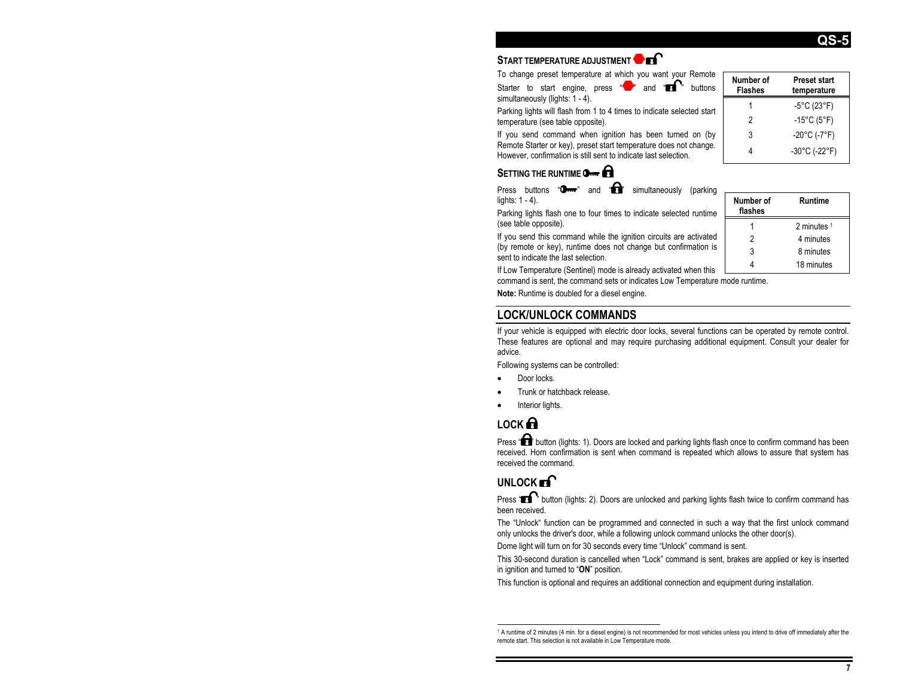## **START TEMPERATURE ADJUSTMENT**

To change preset temperature at which you want your Remote

Starter to start engine, press  $\overline{\bullet}$  and  $\overline{\bullet}$  buttons simultaneously (lights: 1 - 4).

Parking lights will flash from 1 to 4 times to indicate selected start temperature (see table opposite).

If you send command when ignition has been turned on (by Remote Starter or key), preset start temperature does not change. However, confirmation is still sent to indicate last selection.

## **SETTING THE RUNTIME** OF **CHAPTION**

Press buttons " $\mathbf{O}$ <sub>*rrr</sub>*" and " $\mathbf{H}$ " simultaneously (parking</sub> lights: 1 - 4).

Parking lights flash one to four times to indicate selected runtime (see table opposite).

If you send this command while the ignition circuits are activated (by remote or key), runtime does not change but confirmation is sent to indicate the last selection.

If Low Temperature (Sentinel) mode is already activated when this command is sent, the command sets or indicates Low Temperature mode runtime.

**Note:** Runtime is doubled for a diesel engine.

## **LOCK/UNLOCK COMMANDS**

If your vehicle is equipped with electric door locks, several functions can be operated by remote control. These features are optional and may require purchasing additional equipment. Consult your dealer for advice.

Following systems can be controlled:

- Door locks.
- Trunk or hatchback release.
- Interior lights.

## **LOCK**

Press "**LL**" button (lights: 1). Doors are locked and parking lights flash once to confirm command has been received. Horn confirmation is sent when command is repeated which allows to assure that system has received the command.

## **UNLOCK**<sub>R</sub>

Press "**TH** " button (lights: 2). Doors are unlocked and parking lights flash twice to confirm command has been received.

The "Unlock" function can be programmed and connected in such a way that the first unlock command only unlocks the driver's door, while a following unlock command unlocks the other door(s).

Dome light will turn on for 30 seconds every time "Unlock" command is sent.

This 30-second duration is cancelled when "Lock" command is sent, brakes are applied or key is inserted in ignition and turned to "ON" position.

This function is optional and requires an additional connection and equipment during installation.

| Number of<br><b>Flashes</b> | <b>Preset start</b><br>temperature |
|-----------------------------|------------------------------------|
|                             | $-5^{\circ}$ C (23 $^{\circ}$ F)   |
| 2                           | $-15^{\circ}$ C (5 $^{\circ}$ F)   |
| 3                           | $-20^{\circ}$ C (-7°F)             |
|                             | -30°C (-22°F)                      |

| Number of<br>flashes | Runtime     |
|----------------------|-------------|
|                      | 2 minutes 1 |
| 2                    | 4 minutes   |
| 3                    | 8 minutes   |
|                      | 18 minutes  |

## **QS-5**

<sup>1</sup> A runtime of 2 minutes (4 min. for a diesel engine) is not recommended for most vehicles unless you intend to drive off immediately after the remote start. This selection is not available in Low Temperature mode.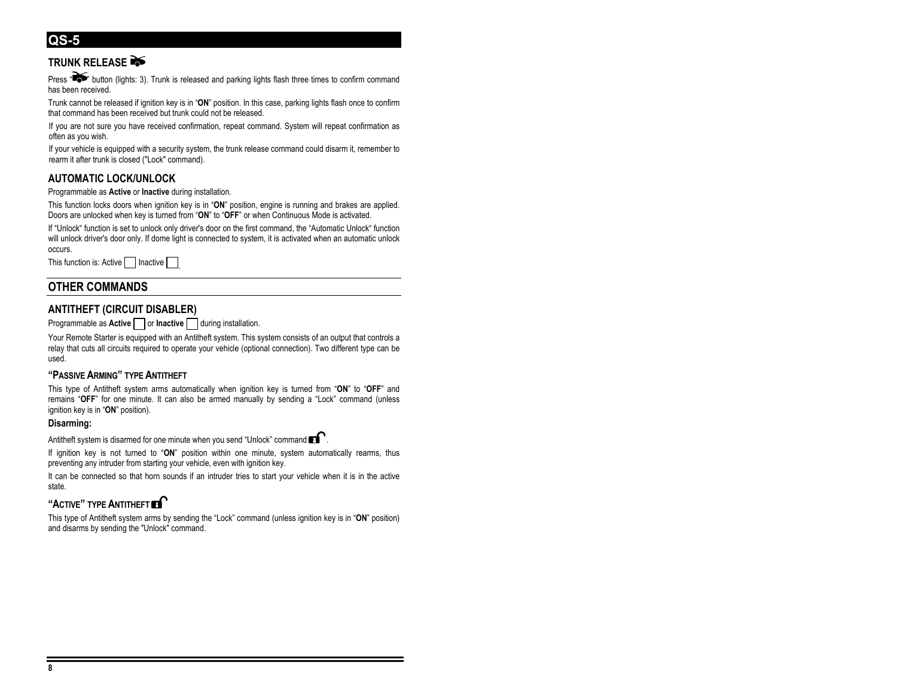## **TRUNK RELEASE**

Press " $\bullet$ " button (lights: 3). Trunk is released and parking lights flash three times to confirm command has been received.

Trunk cannot be released if ignition key is in "**ON**" position. In this case, parking lights flash once to confirm that command has been received but trunk could not be released.

If you are not sure you have received confirmation, repeat command. System will repeat confirmation as often as you wish.

If your vehicle is equipped with a security system, the trunk release command could disarm it, remember to rearm it after trunk is closed ("Lock" command).

#### **AUTOMATIC LOCK/UNLOCK**

Programmable as **Active** or **Inactive** during installation.

This function locks doors when ignition key is in "**ON**" position, engine is running and brakes are applied. Doors are unlocked when key is turned from "**ON**" to "**OFF**" or when Continuous Mode is activated.

If "Unlock" function is set to unlock only driver's door on the first command, the "Automatic Unlock" function will unlock driver's door only. If dome light is connected to system, it is activated when an automatic unlock occurs.

This function is: Active | | Inactive

## **OTHER COMMANDS**

#### **ANTITHEFT (CIRCUIT DISABLER)**

Programmable as **Active** or **Inactive** during installation.

Your Remote Starter is equipped with an Antitheft system. This system consists of an output that controls a relay that cuts all circuits required to operate your vehicle (optional connection). Two different type can be used.

#### **"PASSIVE ARMING" TYPE ANTITHEFT**

This type of Antitheft system arms automatically when ignition key is turned from "**ON**" to "**OFF**" and remains "**OFF**" for one minute. It can also be armed manually by sending a "Lock" command (unless ignition key is in "**ON**" position).

#### **Disarming:**

Antitheft system is disarmed for one minute when you send "Unlock" command  $\blacksquare$ 

If ignition key is not turned to "**ON**" position within one minute, system automatically rearms, thus preventing any intruder from starting your vehicle, even with ignition key.

It can be connected so that horn sounds if an intruder tries to start your vehicle when it is in the active state.

#### **"ACTIVE" TYPE ANTITHEFT**

This type of Antitheft system arms by sending the "Lock" command (unless ignition key is in "**ON**" position) and disarms by sending the "Unlock" command.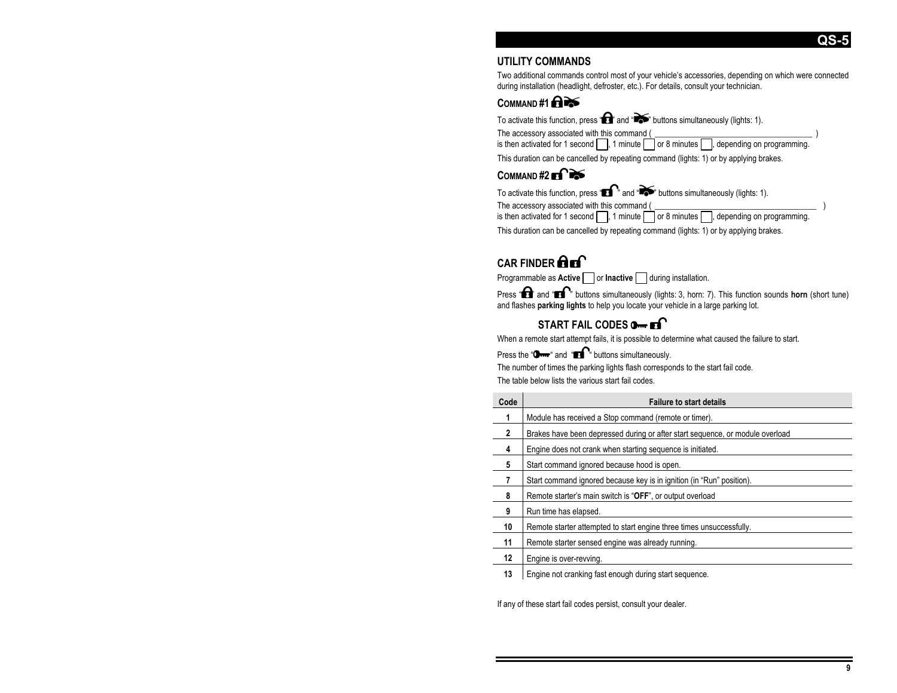**QS-5** 

#### **UTILITY COMMANDS**

Two additional commands control most of your vehicle's accessories, depending on which were connected during installation (headlight, defroster, etc.). For details, consult your technician.

## $COMMAND #1$

To activate this function, press " $\bullet$ " and " $\bullet$ " buttons simultaneously (lights: 1). The accessory associated with this command (  $\qquad \qquad$  ) is then activated for 1 second  $\Box$ , 1 minute  $\Box$  or 8 minutes  $\Box$ , depending on programming. This duration can be cancelled by repeating command (lights: 1) or by applying brakes.

## COMMAND #2 **Frace**

To activate this function, press " $\mathbf{I}$ " and " buttons simultaneously (lights: 1).

The accessory associated with this command (

is then activated for 1 second  $\Box$ , 1 minute  $\Box$  or 8 minutes  $\Box$ , depending on programming.

This duration can be cancelled by repeating command (lights: 1) or by applying brakes.

## **CAR FINDER <b>Q**<sub>E</sub>

Programmable as **Active** or **Inactive** during installation.

Press "**EE**" and "**EE**" buttons simultaneously (lights: 3, horn: 7). This function sounds **horn** (short tune) and flashes **parking lights** to help you locate your vehicle in a large parking lot.

## **START FAIL CODES 0**<sub>m</sub> **Ex**

When a remote start attempt fails, it is possible to determine what caused the failure to start.

Press the " $\Box$  " and " $\Box$ " buttons simultaneously.

The number of times the parking lights flash corresponds to the start fail code.

The table below lists the various start fail codes.

| Code         | <b>Failure to start details</b>                                               |
|--------------|-------------------------------------------------------------------------------|
| 1            | Module has received a Stop command (remote or timer).                         |
| $\mathbf{2}$ | Brakes have been depressed during or after start sequence, or module overload |
| 4            | Engine does not crank when starting sequence is initiated.                    |
| 5            | Start command ignored because hood is open.                                   |
| 7            | Start command ignored because key is in ignition (in "Run" position).         |
| 8            | Remote starter's main switch is "OFF", or output overload                     |
| 9            | Run time has elapsed.                                                         |
| 10           | Remote starter attempted to start engine three times unsuccessfully.          |
| 11           | Remote starter sensed engine was already running.                             |
| 12           | Engine is over-revving.                                                       |
| 13           | Engine not cranking fast enough during start sequence.                        |

If any of these start fail codes persist, consult your dealer.